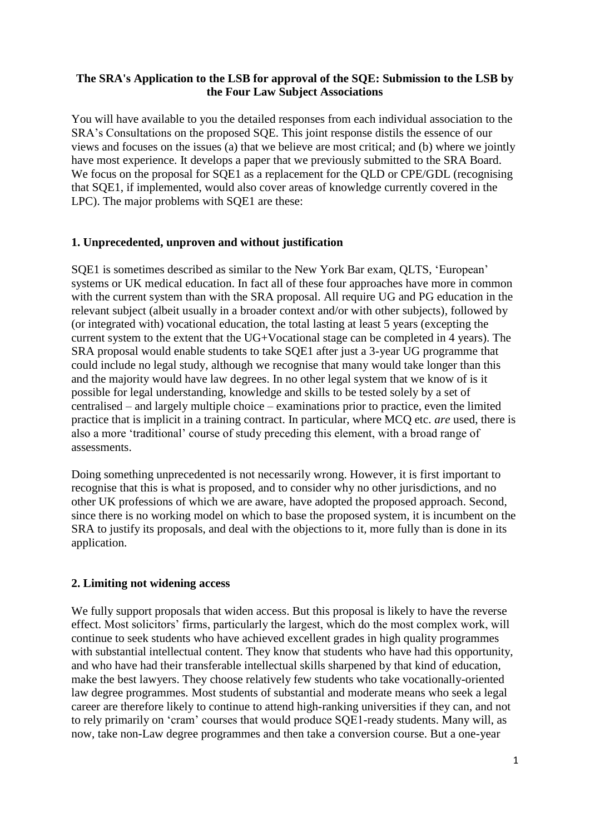## **The SRA's Application to the LSB for approval of the SQE: Submission to the LSB by the Four Law Subject Associations**

You will have available to you the detailed responses from each individual association to the SRA's Consultations on the proposed SQE. This joint response distils the essence of our views and focuses on the issues (a) that we believe are most critical; and (b) where we jointly have most experience. It develops a paper that we previously submitted to the SRA Board. We focus on the proposal for SQE1 as a replacement for the OLD or CPE/GDL (recognising that SQE1, if implemented, would also cover areas of knowledge currently covered in the LPC). The major problems with SQE1 are these:

## **1. Unprecedented, unproven and without justification**

SQE1 is sometimes described as similar to the New York Bar exam, QLTS, 'European' systems or UK medical education. In fact all of these four approaches have more in common with the current system than with the SRA proposal. All require UG and PG education in the relevant subject (albeit usually in a broader context and/or with other subjects), followed by (or integrated with) vocational education, the total lasting at least 5 years (excepting the current system to the extent that the UG+Vocational stage can be completed in 4 years). The SRA proposal would enable students to take SQE1 after just a 3-year UG programme that could include no legal study, although we recognise that many would take longer than this and the majority would have law degrees. In no other legal system that we know of is it possible for legal understanding, knowledge and skills to be tested solely by a set of centralised – and largely multiple choice – examinations prior to practice, even the limited practice that is implicit in a training contract. In particular, where MCQ etc. *are* used, there is also a more 'traditional' course of study preceding this element, with a broad range of assessments.

Doing something unprecedented is not necessarily wrong. However, it is first important to recognise that this is what is proposed, and to consider why no other jurisdictions, and no other UK professions of which we are aware, have adopted the proposed approach. Second, since there is no working model on which to base the proposed system, it is incumbent on the SRA to justify its proposals, and deal with the objections to it, more fully than is done in its application.

### **2. Limiting not widening access**

We fully support proposals that widen access. But this proposal is likely to have the reverse effect. Most solicitors' firms, particularly the largest, which do the most complex work, will continue to seek students who have achieved excellent grades in high quality programmes with substantial intellectual content. They know that students who have had this opportunity, and who have had their transferable intellectual skills sharpened by that kind of education, make the best lawyers. They choose relatively few students who take vocationally-oriented law degree programmes. Most students of substantial and moderate means who seek a legal career are therefore likely to continue to attend high-ranking universities if they can, and not to rely primarily on 'cram' courses that would produce SQE1-ready students. Many will, as now, take non-Law degree programmes and then take a conversion course. But a one-year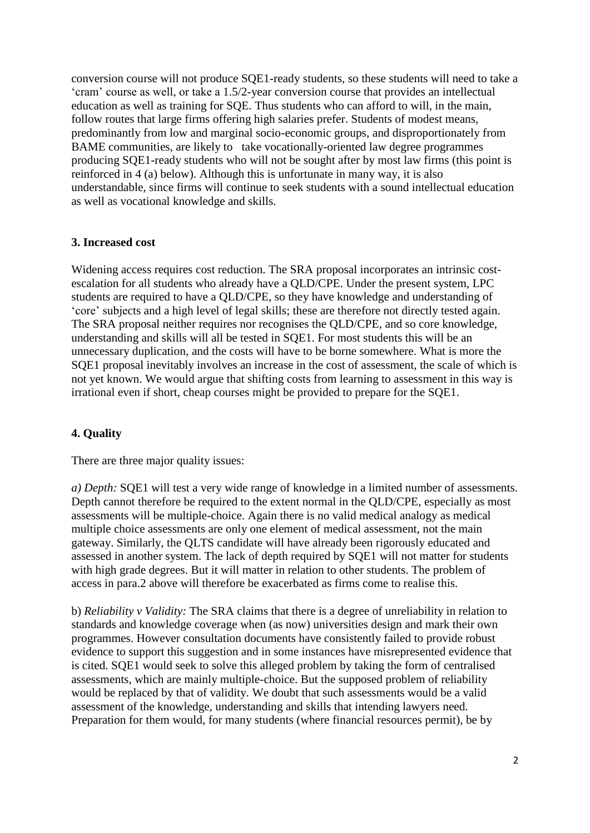conversion course will not produce SQE1-ready students, so these students will need to take a 'cram' course as well, or take a 1.5/2-year conversion course that provides an intellectual education as well as training for SQE. Thus students who can afford to will, in the main, follow routes that large firms offering high salaries prefer. Students of modest means, predominantly from low and marginal socio-economic groups, and disproportionately from BAME communities, are likely to take vocationally-oriented law degree programmes producing SQE1-ready students who will not be sought after by most law firms (this point is reinforced in 4 (a) below). Although this is unfortunate in many way, it is also understandable, since firms will continue to seek students with a sound intellectual education as well as vocational knowledge and skills.

### **3. Increased cost**

Widening access requires cost reduction. The SRA proposal incorporates an intrinsic costescalation for all students who already have a QLD/CPE. Under the present system, LPC students are required to have a QLD/CPE, so they have knowledge and understanding of 'core' subjects and a high level of legal skills; these are therefore not directly tested again. The SRA proposal neither requires nor recognises the QLD/CPE, and so core knowledge, understanding and skills will all be tested in SQE1. For most students this will be an unnecessary duplication, and the costs will have to be borne somewhere. What is more the SQE1 proposal inevitably involves an increase in the cost of assessment, the scale of which is not yet known. We would argue that shifting costs from learning to assessment in this way is irrational even if short, cheap courses might be provided to prepare for the SQE1.

### **4. Quality**

There are three major quality issues:

*a) Depth:* SQE1 will test a very wide range of knowledge in a limited number of assessments. Depth cannot therefore be required to the extent normal in the QLD/CPE, especially as most assessments will be multiple-choice. Again there is no valid medical analogy as medical multiple choice assessments are only one element of medical assessment, not the main gateway. Similarly, the QLTS candidate will have already been rigorously educated and assessed in another system. The lack of depth required by SQE1 will not matter for students with high grade degrees. But it will matter in relation to other students. The problem of access in para.2 above will therefore be exacerbated as firms come to realise this.

b) *Reliability v Validity:* The SRA claims that there is a degree of unreliability in relation to standards and knowledge coverage when (as now) universities design and mark their own programmes. However consultation documents have consistently failed to provide robust evidence to support this suggestion and in some instances have misrepresented evidence that is cited. SQE1 would seek to solve this alleged problem by taking the form of centralised assessments, which are mainly multiple-choice. But the supposed problem of reliability would be replaced by that of validity. We doubt that such assessments would be a valid assessment of the knowledge, understanding and skills that intending lawyers need. Preparation for them would, for many students (where financial resources permit), be by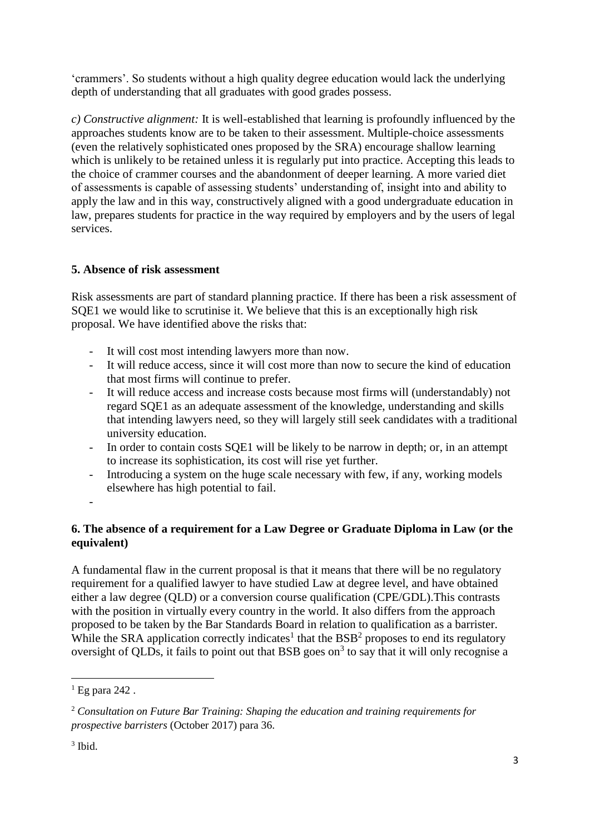'crammers'. So students without a high quality degree education would lack the underlying depth of understanding that all graduates with good grades possess.

*c) Constructive alignment:* It is well-established that learning is profoundly influenced by the approaches students know are to be taken to their assessment. Multiple-choice assessments (even the relatively sophisticated ones proposed by the SRA) encourage shallow learning which is unlikely to be retained unless it is regularly put into practice. Accepting this leads to the choice of crammer courses and the abandonment of deeper learning. A more varied diet of assessments is capable of assessing students' understanding of, insight into and ability to apply the law and in this way, constructively aligned with a good undergraduate education in law, prepares students for practice in the way required by employers and by the users of legal services.

## **5. Absence of risk assessment**

Risk assessments are part of standard planning practice. If there has been a risk assessment of SQE1 we would like to scrutinise it. We believe that this is an exceptionally high risk proposal. We have identified above the risks that:

- It will cost most intending lawyers more than now.
- It will reduce access, since it will cost more than now to secure the kind of education that most firms will continue to prefer.
- It will reduce access and increase costs because most firms will (understandably) not regard SQE1 as an adequate assessment of the knowledge, understanding and skills that intending lawyers need, so they will largely still seek candidates with a traditional university education.
- In order to contain costs SQE1 will be likely to be narrow in depth; or, in an attempt to increase its sophistication, its cost will rise yet further.
- Introducing a system on the huge scale necessary with few, if any, working models elsewhere has high potential to fail.
- -

# **6. The absence of a requirement for a Law Degree or Graduate Diploma in Law (or the equivalent)**

A fundamental flaw in the current proposal is that it means that there will be no regulatory requirement for a qualified lawyer to have studied Law at degree level, and have obtained either a law degree (QLD) or a conversion course qualification (CPE/GDL).This contrasts with the position in virtually every country in the world. It also differs from the approach proposed to be taken by the Bar Standards Board in relation to qualification as a barrister. While the SRA application correctly indicates<sup>1</sup> that the  $BSB<sup>2</sup>$  proposes to end its regulatory oversight of QLDs, it fails to point out that BSB goes on<sup>3</sup> to say that it will only recognise a

**.** 

 $1$  Eg para 242.

<sup>2</sup> *Consultation on Future Bar Training: Shaping the education and training requirements for prospective barristers* (October 2017) para 36.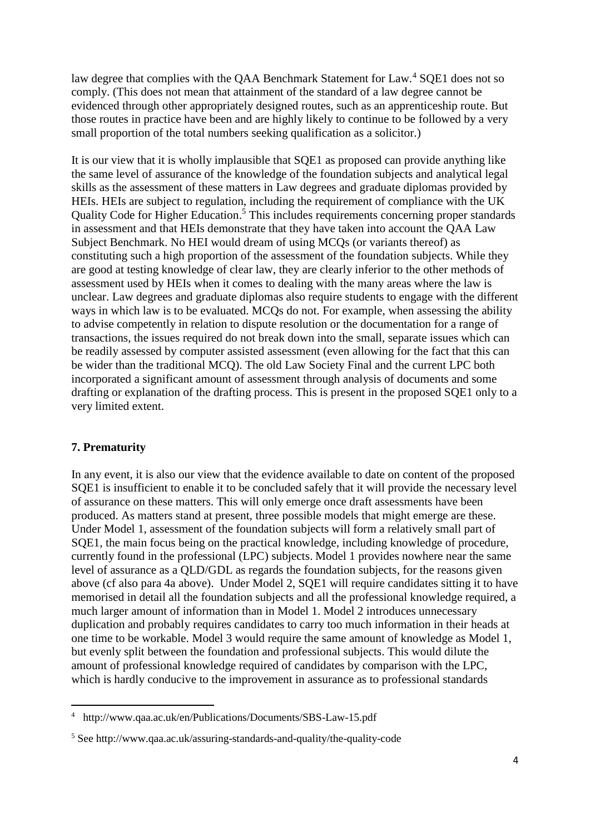law degree that complies with the QAA Benchmark Statement for Law.<sup>4</sup> SOE1 does not so comply. (This does not mean that attainment of the standard of a law degree cannot be evidenced through other appropriately designed routes, such as an apprenticeship route. But those routes in practice have been and are highly likely to continue to be followed by a very small proportion of the total numbers seeking qualification as a solicitor.)

It is our view that it is wholly implausible that SQE1 as proposed can provide anything like the same level of assurance of the knowledge of the foundation subjects and analytical legal skills as the assessment of these matters in Law degrees and graduate diplomas provided by HEIs. HEIs are subject to regulation, including the requirement of compliance with the UK Quality Code for Higher Education. <sup>5</sup> This includes requirements concerning proper standards in assessment and that HEIs demonstrate that they have taken into account the QAA Law Subject Benchmark. No HEI would dream of using MCQs (or variants thereof) as constituting such a high proportion of the assessment of the foundation subjects. While they are good at testing knowledge of clear law, they are clearly inferior to the other methods of assessment used by HEIs when it comes to dealing with the many areas where the law is unclear. Law degrees and graduate diplomas also require students to engage with the different ways in which law is to be evaluated. MCQs do not. For example, when assessing the ability to advise competently in relation to dispute resolution or the documentation for a range of transactions, the issues required do not break down into the small, separate issues which can be readily assessed by computer assisted assessment (even allowing for the fact that this can be wider than the traditional MCQ). The old Law Society Final and the current LPC both incorporated a significant amount of assessment through analysis of documents and some drafting or explanation of the drafting process. This is present in the proposed SQE1 only to a very limited extent.

### **7. Prematurity**

**.** 

In any event, it is also our view that the evidence available to date on content of the proposed SQE1 is insufficient to enable it to be concluded safely that it will provide the necessary level of assurance on these matters. This will only emerge once draft assessments have been produced. As matters stand at present, three possible models that might emerge are these. Under Model 1, assessment of the foundation subjects will form a relatively small part of SQE1, the main focus being on the practical knowledge, including knowledge of procedure, currently found in the professional (LPC) subjects. Model 1 provides nowhere near the same level of assurance as a QLD/GDL as regards the foundation subjects, for the reasons given above (cf also para 4a above). Under Model 2, SQE1 will require candidates sitting it to have memorised in detail all the foundation subjects and all the professional knowledge required, a much larger amount of information than in Model 1. Model 2 introduces unnecessary duplication and probably requires candidates to carry too much information in their heads at one time to be workable. Model 3 would require the same amount of knowledge as Model 1, but evenly split between the foundation and professional subjects. This would dilute the amount of professional knowledge required of candidates by comparison with the LPC, which is hardly conducive to the improvement in assurance as to professional standards

<sup>4</sup> http://www.qaa.ac.uk/en/Publications/Documents/SBS-Law-15.pdf

<sup>5</sup> See http://www.qaa.ac.uk/assuring-standards-and-quality/the-quality-code